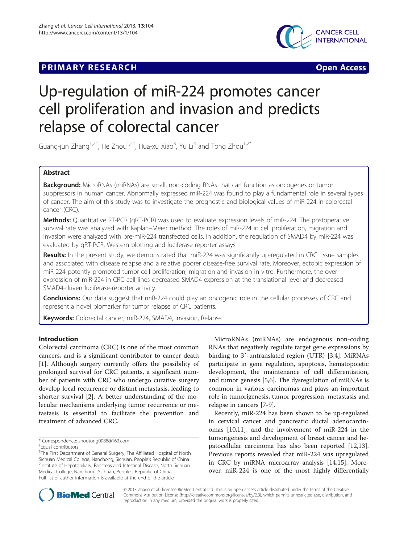## **PRIMARY RESEARCH CONSUMING ACCESS**



# Up-regulation of miR-224 promotes cancer cell proliferation and invasion and predicts relapse of colorectal cancer

Guang-jun Zhang<sup>1,2†</sup>, He Zhou<sup>1,2†</sup>, Hua-xu Xiao<sup>3</sup>, Yu Li<sup>4</sup> and Tong Zhou<sup>1,2\*</sup>

## Abstract

**Background:** MicroRNAs (miRNAs) are small, non-coding RNAs that can function as oncogenes or tumor suppressors in human cancer. Abnormally expressed miR-224 was found to play a fundamental role in several types of cancer. The aim of this study was to investigate the prognostic and biological values of miR-224 in colorectal cancer (CRC).

Methods: Quantitative RT-PCR (qRT-PCR) was used to evaluate expression levels of miR-224. The postoperative survival rate was analyzed with Kaplan–Meier method. The roles of miR-224 in cell proliferation, migration and invasion were analyzed with pre-miR-224 transfected cells. In addition, the regulation of SMAD4 by miR-224 was evaluated by qRT-PCR, Western blotting and luciferase reporter assays.

Results: In the present study, we demonstrated that miR-224 was significantly up-regulated in CRC tissue samples and associated with disease relapse and a relative poorer disease-free survival rate. Moreover, ectopic expression of miR-224 potently promoted tumor cell proliferation, migration and invasion in vitro. Furthermore, the overexpression of miR-224 in CRC cell lines decreased SMAD4 expression at the translational level and decreased SMAD4-driven luciferase-reporter activity.

**Conclusions:** Our data suggest that miR-224 could play an oncogenic role in the cellular processes of CRC and represent a novel biomarker for tumor relapse of CRC patients.

Keywords: Colorectal cancer, miR-224, SMAD4, Invasion, Relapse

## Introduction

Colorectal carcinoma (CRC) is one of the most common cancers, and is a significant contributor to cancer death [[1\]](#page-8-0). Although surgery currently offers the possibility of prolonged survival for CRC patients, a significant number of patients with CRC who undergo curative surgery develop local recurrence or distant metastasis, leading to shorter survival [[2\]](#page-8-0). A better understanding of the molecular mechanisms underlying tumor recurrence or metastasis is essential to facilitate the prevention and treatment of advanced CRC.

MicroRNAs (miRNAs) are endogenous non-coding RNAs that negatively regulate target gene expressions by binding to 3′-untranslated region (UTR) [\[3](#page-8-0),[4](#page-8-0)]. MiRNAs participate in gene regulation, apoptosis, hematopoietic development, the maintenance of cell differentiation, and tumor genesis [\[5,6](#page-8-0)]. The dysregulation of miRNAs is common in various carcinomas and plays an important role in tumorigenesis, tumor progression, metastasis and relapse in cancers [[7-9\]](#page-8-0).

Recently, miR-224 has been shown to be up-regulated in cervical cancer and pancreatic ductal adenocarcinomas [\[10,11](#page-8-0)], and the involvement of miR-224 in the tumorigenesis and development of breast cancer and hepatocellular carcinoma has also been reported [\[12,13](#page-8-0)]. Previous reports revealed that miR-224 was upregulated in CRC by miRNA microarray analysis [[14,15\]](#page-8-0). Moreover, miR-224 is one of the most highly differentially



© 2013 Zhang et al.; licensee BioMed Central Ltd. This is an open access article distributed under the terms of the Creative Commons Attribution License [\(http://creativecommons.org/licenses/by/2.0\)](http://creativecommons.org/licenses/by/2.0), which permits unrestricted use, distribution, and reproduction in any medium, provided the original work is properly cited.

<sup>\*</sup> Correspondence: [zhoutong0088@163.com](mailto:zhoutong0088@163.com) †

Equal contributors

<sup>&</sup>lt;sup>1</sup>The First Department of General Surgery, The Affiliated Hospital of North Sichuan Medical College, Nanchong, Sichuan, People's Republic of China <sup>2</sup> <sup>2</sup>Institute of Hepatobiliary, Pancreas and Intestinal Disease, North Sichuan Medical College, Nanchong, Sichuan, People's Republic of China Full list of author information is available at the end of the article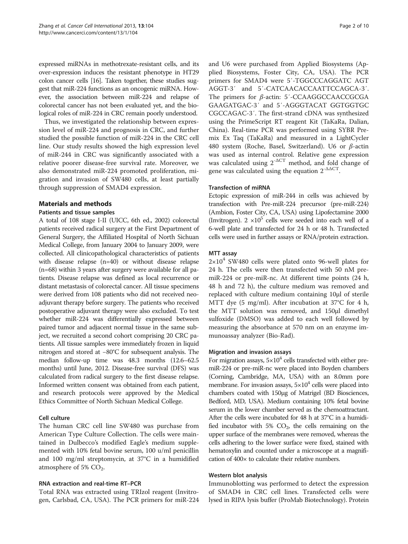expressed miRNAs in methotrexate-resistant cells, and its over-expression induces the resistant phenotype in HT29 colon cancer cells [\[16\]](#page-8-0). Taken together, these studies suggest that miR-224 functions as an oncogenic miRNA. However, the association between miR-224 and relapse of colorectal cancer has not been evaluated yet, and the biological roles of miR-224 in CRC remain poorly understood.

Thus, we investigated the relationship between expression level of miR-224 and prognosis in CRC, and further studied the possible function of miR-224 in the CRC cell line. Our study results showed the high expression level of miR-244 in CRC was significantly associated with a relative poorer disease-free survival rate. Moreover, we also demonstrated miR-224 promoted proliferation, migration and invasion of SW480 cells, at least partially through suppression of SMAD4 expression.

## Materials and methods

#### Patients and tissue samples

A total of 108 stage I-II (UICC, 6th ed., 2002) colorectal patients received radical surgery at the First Department of General Surgery, the Affiliated Hospital of North Sichuan Medical College, from January 2004 to January 2009, were collected. All clinicopathological characteristics of patients with disease relapse (n=40) or without disease relapse (n=68) within 3 years after surgery were available for all patients. Disease relapse was defined as local recurrence or distant metastasis of colorectal cancer. All tissue specimens were derived from 108 patients who did not received neoadjuvant therapy before surgery. The patients who received postoperative adjuvant therapy were also excluded. To test whether miR-224 was differentially expressed between paired tumor and adjacent normal tissue in the same subject, we recruited a second cohort comprising 20 CRC patients. All tissue samples were immediately frozen in liquid nitrogen and stored at −80°C for subsequent analysis. The median follow-up time was 48.3 months (12.6–62.5 months) until June, 2012. Disease-free survival (DFS) was calculated from radical surgery to the first disease relapse. Informed written consent was obtained from each patient, and research protocols were approved by the Medical Ethics Committee of North Sichuan Medical College.

## Cell culture

The human CRC cell line SW480 was purchase from American Type Culture Collection. The cells were maintained in Dulbecco's modified Eagle's medium supplemented with 10% fetal bovine serum, 100 u/ml penicillin and 100 mg/ml streptomycin, at 37°C in a humidified atmosphere of 5%  $CO<sub>2</sub>$ .

## RNA extraction and real-time RT–PCR

Total RNA was extracted using TRIzol reagent (Invitrogen, Carlsbad, CA, USA). The PCR primers for miR-224 and U6 were purchased from Applied Biosystems (Applied Biosystems, Foster City, CA, USA). The PCR primers for SMAD4 were 5′-TGGCCCAGGATC AGT AGGT-3′ and 5′-CATCAACACCAATTCCAGCA-3′. The primers for β-actin: 5′-CCAAGGCCAACCGCGA GAAGATGAC-3′ and 5′-AGGGTACAT GGTGGTGC CGCCAGAC-3′. The first-strand cDNA was synthesized using the PrimeScript RT reagent Kit (TaKaRa, Dalian, China). Real-time PCR was performed using SYBR Premix Ex Taq (TaKaRa) and measured in a LightCycler 480 system (Roche, Basel, Switzerland). U6 or β-actin was used as internal control. Relative gene expression was calculated using  $2^{-\Delta CT}$  method, and fold change of gene was calculated using the equation  $2^{-\Delta\Delta CT}$ .

#### Transfection of miRNA

Ectopic expression of miR-244 in cells was achieved by transfection with Pre-miR-224 precursor (pre-miR-224) (Ambion, Foster City, CA, USA) using Lipofectamine 2000 (Invitrogen).  $2 \times 10^5$  cells were seeded into each well of a 6-well plate and transfected for 24 h or 48 h. Transfected cells were used in further assays or RNA/protein extraction.

#### MTT assay

 $2\times10^4$  SW480 cells were plated onto 96-well plates for 24 h. The cells were then transfected with 50 nM premiR-224 or pre-miR-nc. At different time points (24 h, 48 h and 72 h), the culture medium was removed and replaced with culture medium containing 10μl of sterile MTT dye (5 mg/ml). After incubation at 37°C for 4 h, the MTT solution was removed, and 150μl dimethyl sulfoxide (DMSO) was added to each well followed by measuring the absorbance at 570 nm on an enzyme immunoassay analyzer (Bio-Rad).

## Migration and invasion assays

For migration assays,  $5\times10^4$  cells transfected with either premiR-224 or pre-miR-nc were placed into Boyden chambers (Corning, Cambridge, MA, USA) with an 8.0mm pore membrane. For invasion assays,  $5 \times 10^4$  cells were placed into chambers coated with 150μg of Matrigel (BD Biosciences, Bedford, MD, USA). Medium containing 10% fetal bovine serum in the lower chamber served as the chemoattractant. After the cells were incubated for 48 h at 37°C in a humidified incubator with 5%  $CO<sub>2</sub>$ , the cells remaining on the upper surface of the membranes were removed, whereas the cells adhering to the lower surface were fixed, stained with hematoxylin and counted under a microscope at a magnification of 400× to calculate their relative numbers.

#### Western blot analysis

Immunoblotting was performed to detect the expression of SMAD4 in CRC cell lines. Transfected cells were lysed in RIPA lysis buffer (ProMab Biotechnology). Protein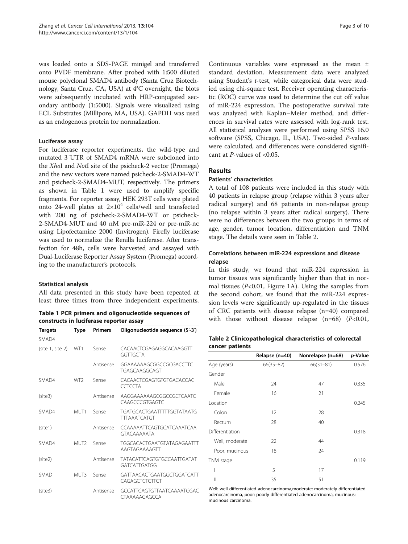was loaded onto a SDS-PAGE minigel and transferred onto PVDF membrane. After probed with 1:500 diluted mouse polyclonal SMAD4 antibody (Santa Cruz Biotechnology, Santa Cruz, CA, USA) at 4°C overnight, the blots were subsequently incubated with HRP-conjugated secondary antibody (1:5000). Signals were visualized using ECL Substrates (Millipore, MA, USA). GAPDH was used as an endogenous protein for normalization.

#### Luciferase assay

For luciferase reporter experiments, the wild-type and mutated 3′UTR of SMAD4 mRNA were subcloned into the XhoI and NotI site of the psicheck-2 vector (Promega) and the new vectors were named psicheck-2-SMAD4-WT and psicheck-2-SMAD4-MUT, respectively. The primers as shown in Table 1 were used to amplify specific fragments. For reporter assay, HEK 293T cells were plated onto 24-well plates at  $2\times10^4$  cells/well and transfected with 200 ng of psicheck-2-SMAD4-WT or psicheck-2-SMAD4-MUT and 40 nM pre-miR-224 or pre-miR-nc using Lipofectamine 2000 (Invitrogen). Firefly luciferase was used to normalize the Renilla luciferase. After transfection for 48h, cells were harvested and assayed with Dual-Luciferase Reporter Assay System (Promega) according to the manufacturer's protocols.

## Statistical analysis

All data presented in this study have been repeated at least three times from three independent experiments.

|                                         |  |  |  |  |  | Table 1 PCR primers and oligonucleotide sequences of |  |
|-----------------------------------------|--|--|--|--|--|------------------------------------------------------|--|
| constructs in luciferase reporter assay |  |  |  |  |  |                                                      |  |

| <b>Targets</b>   | Type             | <b>Primers</b> | Oligonucleotide sequence (5'-3')                         |
|------------------|------------------|----------------|----------------------------------------------------------|
| SMAD4            |                  |                |                                                          |
| (site 1, site 2) | WT1              | Sense          | CACAACTCGAGAGGCACAAGGTT<br>GGTTGCTA                      |
|                  |                  | Antisense      | GGAAAAAAGCGGCCGCGACCTTC<br>TGAGCAAGGCAGT                 |
| SMAD4            | WT <sub>2</sub>  | Sense          | CACAACTCGAGTGTGTGACACCAC<br><b>CCTCCTA</b>               |
| (site3)          |                  | Antisense      | AAGGAAAAAAGCGGCCGCTCAATC<br>CAAGCCCGTGAGTC               |
| SMAD4            | MUT1             | Sense          | <b>TGATGCACTGAATTTTTGGTATAATG</b><br><b>TTTAAATCATGT</b> |
| (site1)          |                  | Antisense      | CCAAAAATTCAGTGCATCAAATCAA<br><b>GTACAAAAATA</b>          |
| SMAD4            | MUT <sub>2</sub> | Sense          | <b>TGGCACACTGAATGTATAGAGAATTT</b><br>AAGTAGAAAAGTT       |
| (site2)          |                  | Antisense      | <b>TATACATTCAGTGTGCCAATTGATAT</b><br><b>GATCATTGATGG</b> |
| SMAD             | MUT3             | Sense          | GATTAACACTGAATGGCTGGATCATT<br>CAGAGCTCTCTTCT             |
| (site3)          |                  | Antisense      | GCCATTCAGTGTTAATCAAAATGGAC<br>CTAAAAAGAGCCA              |

Continuous variables were expressed as the mean ± standard deviation. Measurement data were analyzed using Student's t-test, while categorical data were studied using chi-square test. Receiver operating characteristic (ROC) curve was used to determine the cut off value of miR-224 expression. The postoperative survival rate was analyzed with Kaplan–Meier method, and differences in survival rates were assessed with log-rank test. All statistical analyses were performed using SPSS 16.0 software (SPSS, Chicago, IL, USA). Two-sided P-values were calculated, and differences were considered significant at P-values of <0.05.

## Results

#### Patients' characteristics

A total of 108 patients were included in this study with 40 patients in relapse group (relapse within 3 years after radical surgery) and 68 patients in non-relapse group (no relapse within 3 years after radical surgery). There were no differences between the two groups in terms of age, gender, tumor location, differentiation and TNM stage. The details were seen in Table 2.

## Correlations between miR-224 expressions and disease relapse

In this study, we found that miR-224 expression in tumor tissues was significantly higher than that in normal tissues ( $P<0.01$ , Figure [1](#page-3-0)A). Using the samples from the second cohort, we found that the miR-224 expression levels were significantly up-regulated in the tissues of CRC patients with disease relapse (n=40) compared with those without disease relapse  $(n=68)$   $(P<0.01$ ,

| Table 2 Clinicopathological characteristics of colorectal |  |
|-----------------------------------------------------------|--|
| cancer patients                                           |  |

|                 | Relapse (n=40) | Nonrelapse (n=68) | p-Value |
|-----------------|----------------|-------------------|---------|
| Age (years)     | $66(35 - 82)$  | $66(31 - 81)$     | 0.576   |
| Gender          |                |                   |         |
| Male            | 24             | 47                | 0.335   |
| Female          | 16             | 21                |         |
| Location        |                |                   | 0.245   |
| Colon           | 12             | 28                |         |
| Rectum          | 28             | 40                |         |
| Differentiation |                |                   | 0.318   |
| Well, moderate  | 22             | 44                |         |
| Poor, mucinous  | 18             | 24                |         |
| TNM stage       |                |                   | 0.119   |
| I               | 5              | 17                |         |
| Ш               | 35             | 51                |         |

Well: well-differentiated adenocarcinoma,moderate: moderately differentiated adenocarcinoma, poor: poorly differentiated adenocarcinoma, mucinous: mucinous carcinoma.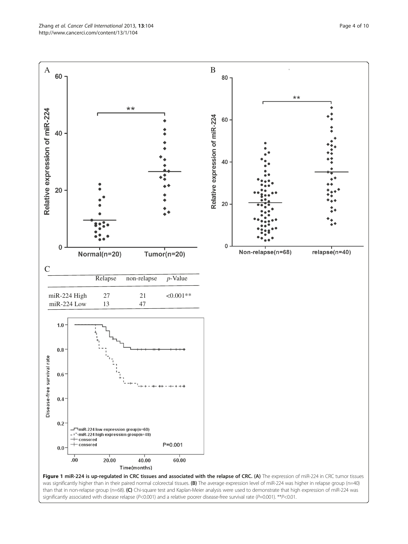<span id="page-3-0"></span>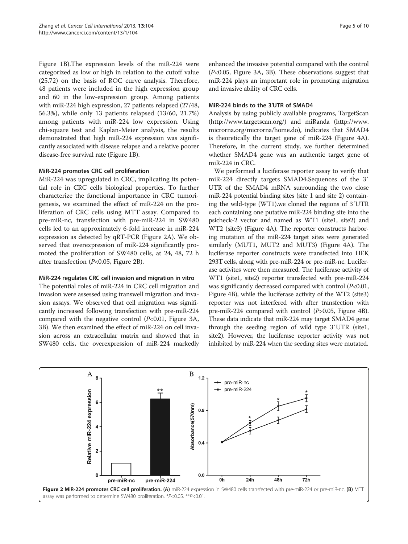Figure [1](#page-3-0)B).The expression levels of the miR-224 were categorized as low or high in relation to the cutoff value (25.72) on the basis of ROC curve analysis. Therefore, 48 patients were included in the high expression group and 60 in the low-expression group. Among patients with miR-224 high expression, 27 patients relapsed (27/48, 56.3%), while only 13 patients relapsed (13/60, 21.7%) among patients with miR-224 low expression. Using chi-square test and Kaplan-Meier analysis, the results demonstrated that high miR-224 expression was significantly associated with disease relapse and a relative poorer disease-free survival rate (Figure [1](#page-3-0)B).

#### MiR-224 promotes CRC cell proliferation

MiR-224 was upregulated in CRC, implicating its potential role in CRC cells biological properties. To further characterize the functional importance in CRC tumorigenesis, we examined the effect of miR-224 on the proliferation of CRC cells using MTT assay. Compared to pre-miR-nc, transfection with pre-miR-224 in SW480 cells led to an approximately 6-fold increase in miR-224 expression as detected by qRT-PCR (Figure 2A). We observed that overexpression of miR-224 significantly promoted the proliferation of SW480 cells, at 24, 48, 72 h after transfection (P<0.05, Figure 2B).

## MiR-224 regulates CRC cell invasion and migration in vitro

The potential roles of miR-224 in CRC cell migration and invasion were assessed using transwell migration and invasion assays. We observed that cell migration was significantly increased following transfection with pre-miR-224 compared with the negative control  $(P<0.01$ , Figure [3](#page-5-0)A, [3B](#page-5-0)). We then examined the effect of miR-224 on cell invasion across an extracellular matrix and showed that in SW480 cells, the overexpression of miR-224 markedly

enhanced the invasive potential compared with the control (P<0.05, Figure [3A](#page-5-0), [3B](#page-5-0)). These observations suggest that miR-224 plays an important role in promoting migration and invasive ability of CRC cells.

#### MiR-224 binds to the 3′UTR of SMAD4

Analysis by using publicly available programs, TargetScan (<http://www.targetscan.org/>) and miRanda ([http://www.](http://www.microrna.org/microrna/home.do) [microrna.org/microrna/home.do](http://www.microrna.org/microrna/home.do)), indicates that SMAD4 is theoretically the target gene of miR-224 (Figure [4A](#page-6-0)). Therefore, in the current study, we further determined whether SMAD4 gene was an authentic target gene of miR-224 in CRC.

We performed a luciferase reporter assay to verify that miR-224 directly targets SMAD4.Sequences of the 3′ UTR of the SMAD4 mRNA surrounding the two close miR-224 potential binding sites (site 1 and site 2) containing the wild-type (WT1).we cloned the regions of 3′UTR each containing one putative miR-224 binding site into the psicheck-2 vector and named as WT1 (site1, site2) and WT2 (site3) (Figure [4A](#page-6-0)). The reporter constructs harboring mutation of the miR-224 target sites were generated similarly (MUT1, MUT2 and MUT3) (Figure [4A](#page-6-0)). The luciferase reporter constructs were transfected into HEK 293T cells, along with pre-miR-224 or pre-miR-nc. Luciferase activites were then measured. The luciferase activity of WT1 (site1, site2) reporter transfected with pre-miR-224 was significantly decreased compared with control  $(P<0.01$ , Figure [4B](#page-6-0)), while the luciferase activity of the WT2 (site3) reporter was not interfered with after transfection with pre-miR-224 compared with control (P>0.05, Figure [4B](#page-6-0)). These data indicate that miR-224 may target SMAD4 gene through the seeding region of wild type 3′UTR (site1, site2). However, the luciferase reporter activity was not inhibited by miR-224 when the seeding sites were mutated.

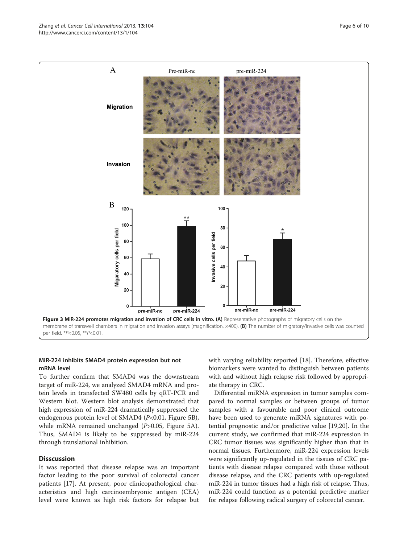<span id="page-5-0"></span>

#### MiR-224 inhibits SMAD4 protein expression but not mRNA level

To further confirm that SMAD4 was the downstream target of miR-224, we analyzed SMAD4 mRNA and protein levels in transfected SW480 cells by qRT-PCR and Western blot. Western blot analysis demonstrated that high expression of miR-224 dramatically suppressed the endogenous protein level of SMAD4 (P<0.01, Figure [5](#page-7-0)B), while mRNA remained unchanged (P>0.05, Figure [5](#page-7-0)A). Thus, SMAD4 is likely to be suppressed by miR-224 through translational inhibition.

## **Disscussion**

It was reported that disease relapse was an important factor leading to the poor survival of colorectal cancer patients [\[17\]](#page-8-0). At present, poor clinicopathological characteristics and high carcinoembryonic antigen (CEA) level were known as high risk factors for relapse but with varying reliability reported [[18\]](#page-8-0). Therefore, effective biomarkers were wanted to distinguish between patients with and without high relapse risk followed by appropriate therapy in CRC.

Differential miRNA expression in tumor samples compared to normal samples or between groups of tumor samples with a favourable and poor clinical outcome have been used to generate miRNA signatures with potential prognostic and/or predictive value [[19,20\]](#page-8-0). In the current study, we confirmed that miR-224 expression in CRC tumor tissues was significantly higher than that in normal tissues. Furthermore, miR-224 expression levels were significantly up-regulated in the tissues of CRC patients with disease relapse compared with those without disease relapse, and the CRC patients with up-regulated miR-224 in tumor tissues had a high risk of relapse. Thus, miR-224 could function as a potential predictive marker for relapse following radical surgery of colorectal cancer.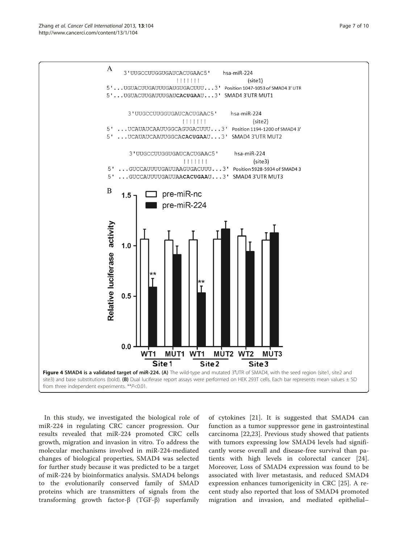<span id="page-6-0"></span>

In this study, we investigated the biological role of miR-224 in regulating CRC cancer progression. Our results revealed that miR-224 promoted CRC cells growth, migration and invasion in vitro. To address the molecular mechanisms involved in miR-224-mediated changes of biological properties, SMAD4 was selected for further study because it was predicted to be a target of miR-224 by bioinformatics analysis. SMAD4 belongs to the evolutionarily conserved family of SMAD proteins which are transmitters of signals from the transforming growth factor-β (TGF-β) superfamily

of cytokines [[21\]](#page-9-0). It is suggested that SMAD4 can function as a tumor suppressor gene in gastrointestinal carcinoma [[22,23](#page-9-0)]. Previous study showed that patients with tumors expressing low SMAD4 levels had significantly worse overall and disease-free survival than patients with high levels in colorectal cancer [\[24](#page-9-0)]. Moreover, Loss of SMAD4 expression was found to be associated with liver metastasis, and reduced SMAD4 expression enhances tumorigenicity in CRC [[25](#page-9-0)]. A recent study also reported that loss of SMAD4 promoted migration and invasion, and mediated epithelial–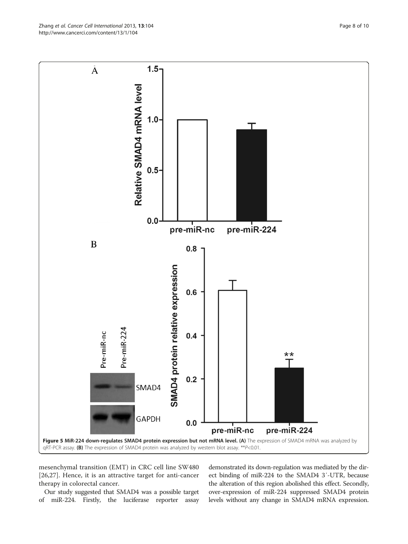mesenchymal transition (EMT) in CRC cell line SW480 [[26,27](#page-9-0)]. Hence, it is an attractive target for anti-cancer therapy in colorectal cancer.

Our study suggested that SMAD4 was a possible target of miR-224. Firstly, the luciferase reporter assay

demonstrated its down-regulation was mediated by the direct binding of miR-224 to the SMAD4 3′-UTR, because the alteration of this region abolished this effect. Secondly, over-expression of miR-224 suppressed SMAD4 protein levels without any change in SMAD4 mRNA expression.

<span id="page-7-0"></span>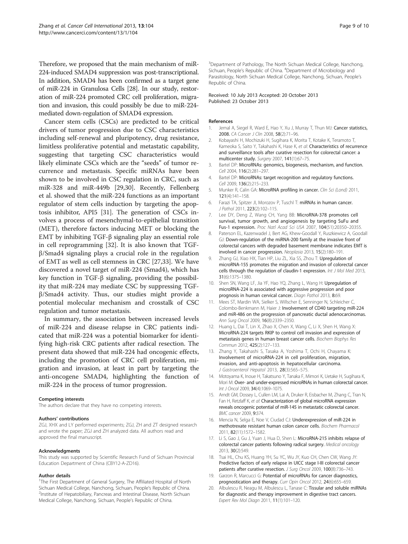<span id="page-8-0"></span>Therefore, we proposed that the main mechanism of miR-224-induced SMAD4 suppression was post-transcriptional. In addition, SMAD4 has been confirmed as a target gene of miR-224 in Granulosa Cells [[28](#page-9-0)]. In our study, restoration of miR-224 promoted CRC cell proliferation, migration and invasion, this could possibly be due to miR-224 mediated down-regulation of SMAD4 expression.

Cancer stem cells (CSCs) are predicted to be critical drivers of tumor progression due to CSC characteristics including self-renewal and pluripotency, drug resistance, limitless proliferative potential and metastatic capability, suggesting that targeting CSC characteristics would likely eliminate CSCs which are the "seeds" of tumor recurrence and metastasis. Specific miRNAs have been shown to be involved in CSC regulation in CRC, such as miR-328 and miR-449b [\[29,30](#page-9-0)]. Recently, Fellenberg et al. showed that the miR-224 functions as an important regulator of stem cells induction by targeting the apoptosis inhibitor, API5 [\[31](#page-9-0)]. The generation of CSCs involves a process of mesenchymal-to-epithelial transition (MET), therefore factors inducing MET or blocking the EMT by inhibiting TGF-β signaling play an essential role in cell reprogramming [\[32](#page-9-0)]. It is also known that TGFβ/Smad4 signaling plays a crucial role in the regulation of EMT as well as cell stemness in CRC [[27,33\]](#page-9-0). We have discovered a novel target of miR-224 (Smad4), which has key function in TGF-β signaling, providing the possibility that miR-224 may mediate CSC by suppressing TGFβ/Smad4 activity. Thus, our studies might provide a potential molecular mechanism and crosstalk of CSC regulation and tumor metastasis.

In summary, the association between increased levels of miR-224 and disease relapse in CRC patients indicated that miR-224 was a potential biomarker for identifying high-risk CRC patients after radical resection. The present data showed that miR-224 had oncogenic effects, including the promotion of CRC cell proliferation, migration and invasion, at least in part by targeting the anti-oncogene SMAD4, highlighting the function of miR-224 in the process of tumor progression.

#### Competing interests

The authors declare that they have no competing interests.

#### Authors' contributions

ZGJ, XHX and LY performed experiments; ZGJ, ZH and ZT designed research and wrote the paper; ZGJ and ZH analyzed data. All authors read and approved the final manuscript.

#### Acknowledgments

This study was supported by Scientific Research Fund of Sichuan Provincial Education Department of China (CBY12-A-ZD16).

#### Author details

<sup>1</sup>The First Department of General Surgery, The Affiliated Hospital of North Sichuan Medical College, Nanchong, Sichuan, People's Republic of China. <sup>2</sup> <sup>2</sup>Institute of Hepatobiliary, Pancreas and Intestinal Disease, North Sichuan Medical College, Nanchong, Sichuan, People's Republic of China.

<sup>3</sup>Department of Pathology, The North Sichuan Medical College, Nanchong, Sichuan, People's Republic of China. <sup>4</sup>Department of Microbiology and Parasitology, North Sichuan Medical College, Nanchong, Sichuan, People's Republic of China.

#### Received: 10 July 2013 Accepted: 20 October 2013 Published: 23 October 2013

#### References

- 1. Jemal A, Siegel R, Ward E, Hao Y, Xu J, Murray T, Thun MJ: Cancer statistics, 2008. CA Cancer J Clin 2008, 58(2):71–96.
- 2. Kobayashi H, Mochizuki H, Sugihara K, Morita T, Kotake K, Teramoto T, Kameoka S, Saito Y, Takahashi K, Hase K, et al: Characteristics of recurrence and surveillance tools after curative resection for colorectal cancer: a multicenter study. Surgery 2007, 141(1):67–75.
- 3. Bartel DP: MicroRNAs: genomics, biogenesis, mechanism, and function. Cell 2004, 116(2):281–297.
- 4. Bartel DP: MicroRNAs: target recognition and regulatory functions. Cell 2009, 136(2):215–233.
- 5. Munker R, Calin GA: MicroRNA profiling in cancer. Clin Sci (Lond) 2011, 121(4):141–158.
- 6. Farazi TA, Spitzer JI, Morozov P, Tuschl T: miRNAs in human cancer. J Pathol 2011, 223(2):102–115.
- 7. Lee DY, Deng Z, Wang CH, Yang BB: MicroRNA-378 promotes cell survival, tumor growth, and angiogenesis by targeting SuFu and Fus-1 expression. Proc Natl Acad Sci USA 2007, 104(51):20350–20355.
- 8. Paterson EL, Kazenwadel J, Bert AG, Khew-Goodall Y, Ruszkiewicz A, Goodall GJ: Down-regulation of the miRNA-200 family at the invasive front of colorectal cancers with degraded basement membrane indicates EMT is involved in cancer progression. Neoplasia 2013, 15(2):180–191.
- 9. Zhang GJ, Xiao HX, Tian HP, Liu ZL, Xia SS, Zhou T: Upregulation of microRNA-155 promotes the migration and invasion of colorectal cancer cells through the regulation of claudin-1 expression. Int J Mol Med 2013, 31(6):1375–1380.
- 10. Shen SN, Wang LF, Jia YF, Hao YQ, Zhang L, Wang H: Upregulation of microRNA-224 is associated with aggressive progression and poor prognosis in human cervical cancer. Diagn Pathol 2013, 8:69.
- 11. Mees ST, Mardin WA, Sielker S, Willscher E, Senninger N, Schleicher C, Colombo-Benkmann M, Haier J: Involvement of CD40 targeting miR-224 and miR-486 on the progression of pancreatic ductal adenocarcinomas. Ann Surg Oncol 2009, 16(8):2339–2350.
- 12. Huang L, Dai T, Lin X, Zhao X, Chen X, Wang C, Li X, Shen H, Wang X: MicroRNA-224 targets RKIP to control cell invasion and expression of metastasis genes in human breast cancer cells. Biochem Biophys Res Commun 2012, 425(2):127–133.
- 13. Zhang Y, Takahashi S, Tasaka A, Yoshima T, Ochi H, Chayama K: Involvement of microRNA-224 in cell proliferation, migration, invasion, and anti-apoptosis in hepatocellular carcinoma. J Gastroenterol Hepatol 2013, 28(3):565–575.
- 14. Motoyama K, Inoue H, Takatsuno Y, Tanaka F, Mimori K, Uetake H, Sugihara K, Mori M: Over- and under-expressed microRNAs in human colorectal cancer. Int J Oncol 2009, 34(4):1069–1075.
- 15. Arndt GM, Dossey L, Cullen LM, Lai A, Druker R, Eisbacher M, Zhang C, Tran N, Fan H, Retzlaff K, et al: Characterization of global microRNA expression reveals oncogenic potential of miR-145 in metastatic colorectal cancer. BMC cancer 2009, 9:374.
- 16. Mencia N, Selga E, Noe V, Ciudad CJ: Underexpression of miR-224 in methotrexate resistant human colon cancer cells. Biochem Pharmacol 2011, 82(11):1572–1582.
- 17. Li S, Gao J, Gu J, Yuan J, Hua D, Shen L: MicroRNA-215 inhibits relapse of colorectal cancer patients following radical surgery. Medical oncology 2013, 30(2):549.
- 18. Tsai HL, Chu KS, Huang YH, Su YC, Wu JY, Kuo CH, Chen CW, Wang JY: Predictive factors of early relapse in UICC stage I-III colorectal cancer patients after curative resection. J Surg Oncol 2009, 100(8):736-743.
- 19. Garzon R, Marcucci G: Potential of microRNAs for cancer diagnostics, prognostication and therapy. Curr Opin Oncol 2012, 24(6):655–659.
- 20. Albulescu R, Neagu M, Albulescu L, Tanase C: Tissular and soluble miRNAs for diagnostic and therapy improvement in digestive tract cancers. Expert Rev Mol Diagn 2011, 11(1):101–120.